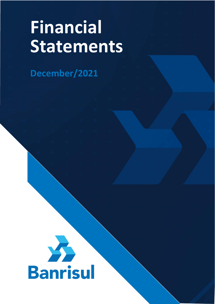# **Financial Statements**

**December/2021**



 $\mathcal{L}_\text{max}$  and  $\mathcal{L}_\text{max}$  and  $\mathcal{L}_\text{max}$  and  $\mathcal{L}_\text{max}$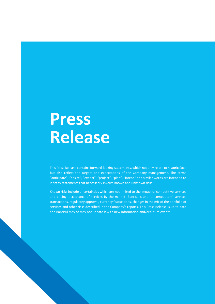# **Press Release**

This Press Release contains forward-looking statements, which not only relate to historic facts but also reflect the targets and expectations of the Company management. The terms "anticipate", "desire", "expect", "project", "plan", "intend" and similar words are intended to identify statements that necessarily involve known and unknown risks.

Known risks include uncertainties which are not limited to the impact of competitive services and pricing, acceptance of services by the market, Banrisul's and its competitors' services transactions, regulatory approval, currency fluctuations, changes in the mix of the portfolio of services and other risks described in the Company's reports. This Press Release is up to date and Banrisul may or may not update it with new information and/or future events.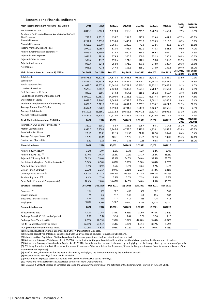# **Economic and Financial Indicators**

| Main Income Statement Accounts - R\$ Million                                                        | 2021           | 2020           | 4Q2021         | 3Q2021         | 2Q2021           | 1Q2021         | 4Q2020         | 2021/<br>2020      | 4Q2021/<br>3Q2021  |
|-----------------------------------------------------------------------------------------------------|----------------|----------------|----------------|----------------|------------------|----------------|----------------|--------------------|--------------------|
| Net Interest Income                                                                                 | 4,845.6        | 5,262.8        | 1,173.3        | 1,215.8        | 1,249.1          | 1,207.3        | 1,462.4        | $-7.9%$            | $-3.5%$            |
| Provisions for Expected Losses Associated with Credit                                               |                |                |                |                |                  |                |                |                    |                    |
| <b>Risk Expenses</b><br><b>Financial Income</b>                                                     | 787.8          | 1,501.5        | 155.7          | 284.5          | 217.8<br>1,291.7 | 129.8          | 401.3          | $-47.5%$           | $-45.3%$           |
| <b>Financial Expenses</b>                                                                           | 8,212.2        | 8,233.2        | 2,533.8        | 2,446.7        |                  | 1,939.9        | 1,510.6        | $-0.3%$            | 3.6%               |
| Income from Services and Fees                                                                       | 3,366.6        | 2,970.4        | 1,360.5        | 1,230.9        | 42.6             | 732.6          | 48.2           | 13.3%              | 10.5%              |
| Adjusted Administrative Expenses (1)                                                                | 1,972.2        | 1,955.4        | 515.6          | 495.7          | 482.3            | 478.5          | 521.3          | 0.9%               | 4.0%               |
| Adjusted Other Expenses                                                                             | 3,665.7        | 3,599.0        | 976.5          | 930.9          | 888.5            | 869.7          | 905.0          | 1.9%               | 4.9%               |
| Adjusted Other Income                                                                               | 1,041.3        | 891.0          | 279.5          | 300.5          | 209.0            | 252.3          | 230.1          | 16.9%              | $-7.0%$            |
| Adjusted Net Income                                                                                 | 530.7          | 457.9          | 198.6          | 121.8          | 110.4            | 99.8           | 148.2          | 15.9%              | 63.1%              |
| Net Income                                                                                          | 990.4          | 824.8          | 258.0          | 171.5          | 281.9            | 278.9          | 329.7          | 20.1%              | 50.5%              |
|                                                                                                     | 948.5          | 727.5          | 247.8          | 156.6          | 265.2            | 278.9          | 232.3          | 30.4%<br>Dec 2021/ | 58.2%<br>Dec 2021/ |
| Main Balance Sheet Accounts - R\$ Million                                                           | Dec 2021       | Dec 2020       | Dec 2021       | Sep 2021       | Jun 2021         | Mar 2021       | Dec 2021       | Dec 2020           | Sep 2021           |
| <b>Total Assets</b>                                                                                 | 104,575.8      | 91,822.9       | 104,575.8      | 101,648.6      | 98,063.0         | 95,432.1       | 91,822.9       | 13.9%              | 2.9%               |
| Securities <sup>(2)</sup>                                                                           | 35,819.4       | 35,432.6       | 35,819.4       | 38,487.4       | 37,646.2         | 37,141.4       | 35,432.6       | 1.1%               | $-6.9%$            |
| <b>Total Credit Portfolio</b>                                                                       | 41,042.0       | 37,605.8       | 41,042.0       | 38,701.8       | 36,640.1         | 36,852.2       | 37,605.8       | 9.1%               | 6.0%               |
| Loan Loss Provision                                                                                 | 2,629.8        | 2,763.1        | 2,629.8        | 2,693.3        | 2,673.3          | 2,700.7        | 2,763.1        | $-4.8%$            | $-2.4%$            |
| Past Due Loans > 90 Days                                                                            | 849.2          | 869.7          | 849.2          | 854.1          | 815.5            | 891.2          | 869.7          | $-2.4%$            | $-0.6%$            |
| Funds Raised and Under Management                                                                   | 84,900.0       | 80,457.7       | 84,900.0       | 81,188.1       | 79,121.1         | 78,577.4       | 80,457.7       | 5.5%               | 4.6%               |
| Shareholders' Equity                                                                                | 9,048.6        | 8,346.2        | 9,048.6        | 8,749.5        | 8,654.4          | 8,581.2        | 8,346.2        | 8.4%               | 3.4%               |
| Prudential Conglomerate Reference Equity                                                            | 9,021.8        | 6,821.2        | 9,021.8        | 6,831.2        | 6,697.1          | 6,694.2        | 6,821.2        | 32.3%              | 32.1%              |
| Average Shareholders' Equity                                                                        | 8,697.4        | 8,070.3        | 8,899.0        | 8,701.9        | 8,617.8          | 8,463.7        | 8,350.6        | 7.8%               | 2.3%               |
| <b>Average Total Assets</b>                                                                         | 98,199.3       | 86,686.2       | 103,112.2      | 99,855.8       | 96,747.5         | 93,627.5       | 90,995.1       | 13.3%              | 3.3%               |
| <b>Average Profitable Assets</b>                                                                    | 87,482.6       | 76,228.3       | 92,318.0       | 88,386.5       | 86,145.9         | 82,820.6       | 80,219.6       | 14.8%              | 4.4%               |
| Stock Market Information - R\$ Million                                                              | 2021           | 2020           | 4Q2021         | 3Q2021         | 2Q2021           | 1Q2021         | 4Q2020         | 2021/<br>2020      | 4Q2021/<br>3Q2021  |
| Interest on Own Capital / Dividends (3)                                                             | 382.2          | 218.2          | 58.7           | 105.1          | 125.4            | 93.1           | 117.2          | 75.2%              | $-44.2%$           |
| <b>Market Capitalization</b>                                                                        | 3,946.6        | 5,958.8        | 3,946.6        | 4,768.6        | 5,423.0          | 4,924.1        | 5,958.8        | $-33.8%$           | $-17.2%$           |
| Book Value Per Share                                                                                | 22.13          | 20.41          | 22.13          | 21.39          | 21.16            | 20.98          | 20.41          | 8.4%               | 3.4%               |
| Average Price per Share (R\$)                                                                       | 12.23          | 14.45          | 10.71          | 12.25          | 13.01            | 12.93          | 13.00          | $-15.4%$           | $-12.6%$           |
| Earnings per Share (R\$)                                                                            | 2.32           | 1.78           | 0.61           | 0.38           | 0.65             | 0.68           | 0.57           | 30.4%              | 58.2%              |
| <b>Financial Indexes</b>                                                                            | 2021           | 2020           | 4Q2021         | 3Q2021         | 2Q2021           | 1Q2021         | 4Q2020         |                    |                    |
| Adjusted ROAA (pa.) (4)                                                                             | 1.0%           | 1.0%           | 1.0%           | 0.7%           | 1.2%             | 1.2%           | 1.4%           |                    |                    |
| Adjusted ROAE (pa.) (5)                                                                             | 11.4%          | 10.2%          | 11.6%          | 7.9%           | 13.1%            | 13.2%          | 15.8%          |                    |                    |
|                                                                                                     |                |                |                |                |                  |                |                |                    |                    |
| Adjusted Efficiency Ratio <sup>(6)</sup><br>Net Interest Margin on Profitable Assets <sup>(7)</sup> | 58.1%<br>5.54% | 53.0%<br>6.90% | 58.1%<br>5.08% | 54.5%<br>5.50% | 54.0%<br>5.80%   | 53.5%<br>5.83% | 53.0%<br>7.29% |                    |                    |
| <b>Adjusted Operating Cost</b>                                                                      | 3.5%           | 3.9%           | 3.5%           | 3.5%           | 3.6%             | 3.7%           | 3.9%           |                    |                    |
| Default Rate > 90 Days (8)                                                                          | 2.07%          |                |                |                |                  |                |                |                    |                    |
| Coverage Ratio 90 days (9)                                                                          |                | 2.31%          | 2.07%          | 2.21%          | 2.23%            | 2.42%          | 2.31%          |                    |                    |
| Provisioning Index (10)                                                                             | 309.7%<br>6.4% | 317.7%         | 309.7%         | 315.3%         | 327.8%           | 303.1%         | 317.7%         |                    |                    |
| Basel Ratio (Prudential Conglomerate)                                                               | 18.4%          | 7.3%<br>15.8%  | 6.4%<br>18.47% | 7.0%<br>14.5%  | 7.3%<br>14.8%    | 7.3%<br>14.8%  | 7.3%<br>15.8%  |                    |                    |
| <b>Structural Indicators</b>                                                                        | Dec 2021       | Dec 2020       | Dec 2021       | Sep 2021       | Jun 2021         | Mar 2021       | Dec 2020       |                    |                    |
|                                                                                                     |                |                |                |                |                  |                |                |                    |                    |
| Branches <sup>(11)</sup>                                                                            | 497            | 507            | 497            | 499            | 500              | 502            | 507            |                    |                    |
| <b>Service Stations</b>                                                                             | 138            | 182            | 138            | 142            | 156              | 156            | 182            |                    |                    |
| <b>Electronic Service Stations</b>                                                                  | 427<br>9,002   | 418            | 427            | 414            | 418              | 426            | 418            |                    |                    |
| Employees                                                                                           |                | 9,280          | 9,002          | 9,080          | 9,156            | 9,224          | 9,280          |                    |                    |
| <b>Economic Indicators</b>                                                                          | 2021           | 2020           | 4Q2021         | 3Q2021         | 2Q2021           | 1Q2021         | 4Q2020         |                    |                    |
| <b>Effective Selic Rate</b>                                                                         | 4.42%          | 2.76%          | 1.85%          | 1.23%          | 0.79%            | 0.48%          | 0.47%          |                    |                    |
| Exchange Rate (R\$/USD - end of period)                                                             | 5.58           | 5.20           | 5.58           | 5.44           | 5.00             | 5.70           | 5.20           |                    |                    |
| Exchange Rate Variation (%)                                                                         | 7.39%          | 28.93%         | 2.59%          | 8.74%          | $-12.20%$        | 9.63%          | $-7.87%$       |                    |                    |
| IGP-M (General Market Price Index)                                                                  | 17.79%         | 23.14%         | 1.54%          | 0.80%          | 6.31%            | 8.27%          | 7.64%          |                    |                    |
| IPCA (Extended Consumer Price Index)                                                                | 10.06%         | 4.52%          | 2.96%          | 3.02%          | 1.68%            | 2.05%          | 3.13%          |                    |                    |

(1) Includes Adjusted Personnel Expenses and Other Administrative Expenses.

(2) Includes Derivatives, Interbank Deposits and Cash Equivalents and deduces Repurchase Obligations.

(3) Interest on Own Capital and Dividends paid credited and/or provisioned (before retention of income tax).

(4) Net Income / Average Total Asset. As of 2Q2020, the indicator for the year is obtained by multiplying the division quotient by the number of periods.

(5) Net Income / Average Shareholders' Equity. As of 2Q2020, the indicator for the year is obtained by multiplying the division quotient by the number of periods. (6) Efficiency Ratio for the last 12 months. Personnel Expenses + Other Administrative Expenses / Financial Margin + Income from Services and Fees + (Other Income – Other Expenses).

(7) As of 2Q2020, the indicator for the year is obtained by multiplying the division quotient by the number of periods.

(8) Past Due Loans > 90 days / Total Credit Portfolio.

(9) Provisions for Expected Losses Associated with Credit Risk/ Past Due Loans > 90 days.

(10) Provisions for Expected Losses Associated with Credit Risk/ Credit Portfolio.

(11) On June 9, 2021, the Board of Directors approved the voluntary termination of the activities of the Miami branch, started on June 30, 2021.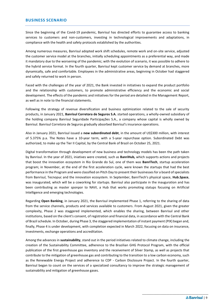# **BUSINESS SCENARIO**

Since the beginning of the Covid-19 pandemic, Banrisul has directed efforts to guarantee access to banking services to customers and non-customers, investing in technological improvements and adaptations, in compliance with the health and safety protocols established by the authorities.

Among numerous measures, Banrisul adopted work shift schedules, remote work and on-site service, adjusted the customer service model at the branches, initially scheduling appointments as a preferential way, and made it mandatory due to the worsening of the pandemic; with the evolution of scenario, it was possible to adhere to the hybrid service format. In the fourth quarter, Banrisul kept customer service by demand at branches, more dynamically, safe and comfortable. Employees in the administrative areas, beginning in October had staggered and safely returned to work in person.

Faced with the challenges of the year of 2021, the Bank invested in initiatives to expand the product portfolio and the relationship with customers, to promote administrative efficiency and the economic and social development. The effects of the pandemic and initiatives for the period are detailed in the Management Report, as well as in note to the financial statements.

Following the strategy of revenue diversification and business optimization related to the sale of security products, in January 2021, **Banrisul Corretora de Seguros S.A.** started operations, a wholly-owned subsidiary of the holding company Banrisul Seguridade Participações S.A., a company whose capital is wholly owned by Banrisul. Banrisul Corretora de Seguros gradually absorbed Banrisul's insurance operations.

Also in January 2021, Banrisul issued a **new subordinated debt**, in the amount of US\$300 million, with interest of 5.375% p.a. The Notes have a 10-year term, with a 5-year repurchase option. Subordinated Debt was authorized, to make up the Tier II Capital, by the Central Bank of Brazil on October 25, 2021.

Digital transformation through development of new business and technology models has been the path taken by Banrisul. In the year of 2021, iniatives were created, such as **BanriHub,** which supports actions and projects that boost the innovation ecosystem in Rio Grande do Sul, one of them was **BanriTech**, startup acceleration program; in November, at the end of the first acceleration cycle, were known the startups that had the best performance in the Program and were classified on Pitch Day to present their businesses for a board of specialists from Banrisul, Tecnopuc and the innovation ecosystem. In September, BanriTech's physical space, **Hub.Space**, was inaugurated, which will be a coworking for startups. Banrisul also participate in the inauguration and has been contributing as master sponpor to NAVI, a Hub that works promoting statups focusing on Artificial Intelligence and emerging technologies.

Regarding **Open Banking**, in January 2021, the Banrisul implemented Phase 1, referring to the sharing of data from the service channels, products and services available to customers. From August 2021, given the greater complexity, Phase 2 was staggered implemented, which enables the sharing, between Banrisul and other institutions, based on the client's consent, of registration and financial data, in accordance with the Central Bank of Brazil schedule. In October, during Phase 3, the staggered implementation of instant payment (PIX) began and, finally, Phase 4 is under development, with completion expected in March 2022, focusing on data on insurance, investments, exchange operations and accreditation.

Among the advances in **sustainability**, stand out in the period initiatives related to climate change, including the creation of the Sustainability Committee, adherence to the Brazilian GHG Protocol Program, with the official publication of the first greenhouse gas inventory and the receivement of Silver Stamp, as well as projects that contribute to the mitigation of greenhouse gas and contributing to the transition to a low carbon economy, such as the Renewable Energy Project and adherence to CDP - Carbon Disclosure Project. In the fourth quarter, Banrisul began to count on the services of a specialized consultancy to improve the strategic management of sustainability and mitigation of greenhouse gases.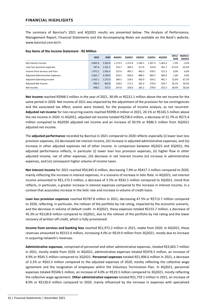# **FINANCIAL HIGHLIGHTS**

The summary of Banrisul's 2021 and 4Q2021 results are presented below. The Analysis of Performance, Management Report, Financial Statements and the Accompanying Notes are available on the Bank's website, www.banrisul.com.br/ri.

# **Key Items of the Income Statement - R\$ Million**

|                                         | 2021    | 2020    | 402021  | 3Q2021  | 202021  | 1Q2021  | 402020  | 2021/<br>2020 | 4Q2021/<br>3Q2021 |
|-----------------------------------------|---------|---------|---------|---------|---------|---------|---------|---------------|-------------------|
| Net Interest Income                     | 4.845.6 | 5.262.8 | 1.173.3 | 1.215.8 | 1.249.1 | 1.207.3 | 1.462.4 | $-7.9%$       | $-3,5%$           |
| Loan loss provision expenses            | 787.8   | 1.501.5 | 155.7   | 284.5   | 217.8   | 129.8   | 401.3   | $-47,5%$      | $-45,3%$          |
| Income from Services and Fees           | 1.972.2 | 1.955.4 | 515.6   | 495.7   | 482.3   | 478.5   | 521.3   | 0,9%          | 4,0%              |
| <b>Adjusted Administrative Expenses</b> | 3.665.7 | 3.599.0 | 976.5   | 930.9   | 888.5   | 869.7   | 905.0   | 1,9%          | 4,9%              |
| <b>Adjusted Operating Income</b>        | 1.432.1 | 1.272.4 | 366.5   | 218.5   | 420.9   | 426.2   | 491.7   | 12.6%         | 67,7%             |
| Adjusted Net Income                     | 990.4   | 824.8   | 258.0   | 171.5   | 281.9   | 278.9   | 329.7   | 20,1%         | 50,5%             |
| Net Income                              | 948.5   | 727.5   | 247.8   | 156.6   | 265.2   | 278.9   | 232.3   | 30.4%         | 58,2%             |

**Net income** reached R\$948.5 million in the year of 2021, 30.4% or R\$221.1 million above the net income for the same period in 2020. Net income of 2021 was impacted by the adjustment of the provision for tax contingencies and the associated tax effect, events were treated, for the purposes of income analysis, as not recurrent. **Adjusted net income** for non-recurring events reached R\$990.4 million in 2021, 20.1% or R\$165.5 million above the net income in 2020. In 4Q2021, adjusted net income totaled R\$258.0 million, a decrease of 21.7% or R\$71.6 million compared to 4Q2020 adjusted net income and an increase of 50.5% or R\$86.5 million from 3Q2021 adjusted net income.

The **adjusted performance** recorded by Banrisul in 2021 compared to 2020 reflects especially (i) lower loan loss provision expenses, (ii) decreased net interest income, (iii) increase in adjusted administrative expenses, and (iv) increase in other adjusted expenses net of other income. In comparison between 4Q2021 and 3Q2021, the adjusted performance reflects, in particular (i) lower loan loss provision expenses, (ii) higher flow in other adjusted income, net of other expenses, (iii) decrease in net interest income (iv) increase in administrative expenses, and (vi) consequent higher volume of income taxes.

**Net interest income** for 2021 reached R\$4,845.6 million, decreasing 7.9% or R\$417.1 million compared to 2020, mainly reflecting the increase in interest expenses, in a scenario of increase in Selic Rate. In 4Q2021, net interest income amounted to R\$1,173.3 million, a decrease of 3.5% or R\$42.5 million compared to 3Q2021, trend that reflects, in particular, a greater increase in interest expenses compared to the increase in interest income, in a context that associates increase in the Selic rate and increase in volume of credit loans.

**Loan loss provision expenses** reached R\$787.8 million in 2021, decreasing 47.5% or R\$713.7 million compared to 2020, reflecting, in particular, the rollover of the portfolio by risk rating, impacted by the economic scenario, and the decrease in volume of default credit. In 4Q2021, these expenses totaled R\$155.7 million, a decrease of 45.3% or R\$128.8 million compared to 3Q2021, due to the rollover of the portfolio by risk rating and the lower recovery of written off credit, which is fully provisioned.

**Income from services and banking fees** reached R\$1,972.2 million in 2021, stable from 2020. In 4Q2021, these revenues amounted to R\$515.6 million, increasing 4.0% or R\$19.9 million from 3Q2021, mostly due to increase in acquiring network's revenues.

**Administrative expenses**, comprised of personnel and other administrative expenses, totaled R\$3,665.7 million in 2021, mostly stable from 2020. In 4Q2021, administrative expenses totaled R\$976.5 million, an increase of 4.9% or R\$45.5 million compared to 3Q2021. **Personnel expenses** totaled R\$1,906.6 million in 2021, a decrease of 3.2% or R\$63.3 million compared to the adjusted expenses of 2020, mostly reflecting the collective wage agreement and the resignation of employees within the Voluntary Termination Plan. In 4Q2021, personnel expenses totaled R\$506.5 million, an increase of 4.0% or R\$19.3 million compared to 3Q2021, mostly reflecting the collective wage agreement. **Other administrative expenses** totaled R\$1,759.1 million in 2021, an increase of 8.0% or R\$130.0 million compared to 2020, mainly influenced by the increase in expenses with specialized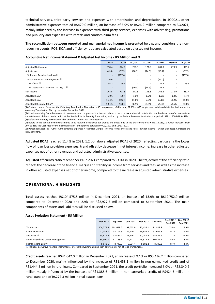technical services, third-party services and expenses with amortization and depreciation. In 4Q2021, other administrative expenses totaled R\$470.0 million, an increase of 5.9% or R\$26.2 million compared to 3Q2021, mainly influenced by the increase in expenses with third-party services, expenses with advertising, promotions and publicity and expenses with rentals and condominium fees.

**The reconciliation between reported and managerial net income** is presented below, and considers the nonrecurring events. ROE, ROA and efficiency ratio are calculated based on adjusted net income.

|                                                     | 2021                                                                                                                                                                                                                                       | 2020    | 4Q2021 | 3Q2021                   | 2Q2021 | 1Q2021                   | 4Q2020  |  |  |  |
|-----------------------------------------------------|--------------------------------------------------------------------------------------------------------------------------------------------------------------------------------------------------------------------------------------------|---------|--------|--------------------------|--------|--------------------------|---------|--|--|--|
| Adjusted Net Income                                 | 990.4                                                                                                                                                                                                                                      | 824.8   | 258.0  | 171.5                    | 281.9  | 278.9                    | 329.7   |  |  |  |
| Adjustments                                         | (41.8)                                                                                                                                                                                                                                     | (97.3)  | (10.3) | (14.9)                   | (16.7) | $\overline{\phantom{a}}$ | (97.3)  |  |  |  |
| Voluntary Termination Plan (1)                      | $\overline{\phantom{a}}$                                                                                                                                                                                                                   | (177.0) |        |                          |        | $\overline{\phantom{a}}$ | (177.0) |  |  |  |
| Provision for Tax Contingencies (2)                 | (76.0)                                                                                                                                                                                                                                     |         |        | $\sim$                   | (76.0) | $\overline{\phantom{a}}$ |         |  |  |  |
| Tax Effects <sup>(3)</sup>                          | 34.2                                                                                                                                                                                                                                       | 79.6    |        | $\overline{\phantom{a}}$ | 34.2   | $\overline{\phantom{a}}$ | 79.6    |  |  |  |
| Tax Credits - CSLL Law No. 14,183/21 <sup>(4)</sup> |                                                                                                                                                                                                                                            |         | (10.3) | (14.9)                   | 25.2   |                          |         |  |  |  |
| Net Income                                          | 948.5                                                                                                                                                                                                                                      | 727.5   | 247.8  | 156.6                    | 265.2  | 278.9                    | 232.4   |  |  |  |
| <b>Adjusted ROAA</b>                                | 1.0%                                                                                                                                                                                                                                       | 1.0%    | 1.0%   | 0.7%                     | 1.2%   | 1.2%                     | 1.4%    |  |  |  |
| <b>Adjusted ROAE</b>                                | 11.4%                                                                                                                                                                                                                                      | 10.2%   | 11.6%  | 7.9%                     | 13.1%  | 13.2%                    | 15.8%   |  |  |  |
| Adjusted Efficiency Ratio <sup>(5)</sup>            | 58.1%                                                                                                                                                                                                                                      | 53.0%   | 58.1%  | 54.5%                    | 54.0%  | 53.5%                    | 53.0%   |  |  |  |
|                                                     | $\mathcal{U} \cap \mathcal{U}$ , and the set of the set of the set of the set of the set of the set of the set of the set of the set of the set of the set of the set of the set of the set of the set of the set of the set of the set of |         |        |                          |        |                          |         |  |  |  |

## **Accounting Net Income Statement X Adjusted Net Income - R\$ Million and %**

(1) Costs accounted for under the Voluntary Termination Plan refer to 901 employees; of this total, 97.1% or 875 employees had already left the Bank under the Voluntary Termination Plan by the end of December 2021.

(2) Provision arising from the review of parameters and progress of the lawsuit related to income tax and social contribution on the deduction of expenses from the settlement of the actuarial deficit at the Banrisul Social Security Foundation, evoked by the Federal Revenue Service for the period 1998 to 2005 (Note 19b). (3) Refers to Voluntary Termination Plan and Provision for Tax Contingencies.

(4) Refers to the update of the installments to be realized of deferred tax credits and debts, due to the enactment of Law No. 14,183/21, which increases from 20% to 25% the CSLL rate for the financial sector, in the period between 07/01/2021 and 12/31/2021.

(5) Personnel Expenses + Other Administrative Expenses / Financial Margin + Income from Services and Fees + (Other Income – Other Expenses). Considers the last 12 months.

**Adjusted ROAE** reached 11.4% in 2021, 1.2 pp. above adjusted ROAE of 2020, reflecting particularly the lower flow of loan loss provision expenses, trend offset by decrease in net interest income, increase in other adjusted expenses net of other revenues and adjusted administrative expenses.

**Adjusted efficiency ratio** reached 58.1% in 2021 compared to 53.0% in 2020. The trajectory of the efficiency ratio reflects the decrease of the financial margin and stability in income from services and fees, as well as the increase in other adjusted expenses net of other income, compared to the increase in adjusted administrative expenses.

# **OPERATIONAL HIGHLIGHTS**

**Total assets** reached R\$104,575.8 million in December 2021, an increase of 13.9% or R\$12,752.9 million compared to December 2020 and 2.9% or R\$2,927.2 million compared to September 2021. The main components of assets and liabilities will be discussed below.

## **Asset Evolution Statement - R\$ Million**

|                                   | Dec 2021  | Sep 2021  | <b>Jun 2021</b> | Mar 2021 | <b>Dec 2020</b> | Dec 2021/<br>Dec 2020 | Dec 2021/<br>Sep 2021 |
|-----------------------------------|-----------|-----------|-----------------|----------|-----------------|-----------------------|-----------------------|
| <b>Total Assets</b>               | 104.575.8 | 101.648.6 | 98.063.0        | 95.432.1 | 91.822.9        | 13.9%                 | 2.9%                  |
| <b>Credit Operations</b>          | 41.042.0  | 38.701.8  | 36.640.1        | 36.852.2 | 37.605.8        | 9.1%                  | 6.0%                  |
| Securities <sup>(1)</sup>         | 35.819.4  | 38.487.4  | 37.646.2        | 37.141.4 | 35.432.6        | 1.1%                  | $-6.9%$               |
| Funds Raised and Under Management | 84.900.0  | 81.188.1  | 79.121.1        | 78.577.4 | 80.457.7        | 5.5%                  | 4.6%                  |
| Shareholders' Equity              | 9,048.6   | 8.749.5   | 8.654.4         | 8.581.2  | 8.346.2         | 8.4%                  | 3.4%                  |

(1) Includes derivative financial instruments, interbank investments and cash equivalents, net of repo transactions.

**Credit assets** reached R\$41,042.0 million in December 2021, an increase of 9.1% or R\$3,436.2 million compared to December 2020, mainly influenced by the increase of R\$1,458.1 million in non-earmarked credit and of R\$1,444.5 million in rural loans. Compared to September 2021, the credit portfolio increased 6.0% or R\$2,340.2 million mostly influenced by the increase of R\$1,388.6 million in non-earmarked credit, of R\$424.6 million in rural loans and of R\$277.3 million in real estate loans.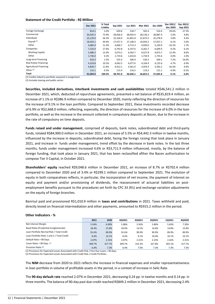## **Statement of the Credit Portfolio - R\$ Million**

|                               | Dec 2021 | % Total<br>Crédito | Sep 2021 | Jun 2021 | Mar 2021 | Dec 2020 | Dec 2021/<br><b>Dec 2020</b> | Dec 2021/<br>Sep 2021 |
|-------------------------------|----------|--------------------|----------|----------|----------|----------|------------------------------|-----------------------|
| Foreign Exchange              | 814.5    | 2.0%               | 639.6    | 518.7    | 502.4    | 510.4    | 59.6%                        | 27.3%                 |
| Commercial                    | 30,345.5 | 73.9%              | 28,956.9 | 28,059.4 | 28,136.2 | 28,887.4 | 5.0%                         | 4.8%                  |
| Individuals                   | 23,129.0 | 56.3%              | 22,164.0 | 21,861.8 | 21,873.5 | 22,278.0 | 3.8%                         | 4.4%                  |
| Payroll <sup>(1)</sup>        | 18,443.1 | 44.9%              | 17,557.3 | 17,148.4 | 16,943.5 | 17,057.1 | 8.1%                         | 5.0%                  |
| Other                         | 4,685.9  | 11.4%              | 4,606.7  | 4,713.3  | 4,930.0  | 5,220.9  | $-10.2%$                     | 1.7%                  |
| Companies                     | 7,216.4  | 17.6%              | 6,792.8  | 6,197.6  | 6,262.7  | 6,609.4  | 9.2%                         | 6.2%                  |
| <b>Working Capital</b>        | 5,480.5  | 13.4%              | 5,073.2  | 4,563.7  | 4,527.8  | 4,873.7  | 12.4%                        | 8.0%                  |
| Other                         | 1,736.0  | 4.2%               | 1,719.6  | 1,633.8  | 1,734.9  | 1,735.6  | 0.0%                         | 1.0%                  |
| Long-term Financing           | 610.3    | 1.5%               | 535.3    | 506.9    | 530.2    | 569.1    | 7.2%                         | 14.0%                 |
| Real Estate Financing         | 4,319.8  | 10.5%              | 4,042.5  | 4,077.6  | 4,104.9  | 4,125.6  | 4.7%                         | 6.9%                  |
| <b>Agricultural Financing</b> | 4,836.7  | 11.8%              | 4,412.1  | 3,361.0  | 3,459.3  | 3,392.2  | 42.6%                        | 9.6%                  |
| Other $(2)$                   | 115.1    | 0.3%               | 115.4    | 116.5    | 119.2    | 121.1    | $-4.9%$                      | $-0.2%$               |
| Total                         | 41,042.0 | 100.0%             | 38,701.8 | 36,640.1 | 36,852.2 | 37,605.8 | 9.1%                         | 6.0%                  |

(1) Credits linked to portfolio acquired in assignment.

(2) Includes leasing and public sector.

**Securities, included derivatives, interbank investments and cash availabilities** totaled R\$46,541.2 million in December 2021, which, deducted of repurchase agreements, presented a net balance of R\$35,819.4 million, an increase of 1.1% or R\$386.9 million compared to December 2020, mainly reflecting the direction of resources for the increase of 9.1% in the loan portfolio. Compared to September 2021, these investments recorded decrease of 6.9% or R\$2,668.0 million, reflecting, especially, the direction of resources for the increase of 6.0% in the loan portfolio, as well as the increase in the amount collected in compulsory deposits at Bacen, due to the increase in the rate of compulsory on time deposits.

**Funds raised and under management**, comprised of deposits, bank notes, subordinated debt and third-party funds, totaled R\$84,900.0 million in December 2021, an increase of 5.5% or R\$4,442.3 million in twelve months, influenced by the increase in deposits, subordinated debt, facing the foreign raising that took place in January 2021, and increase in funds under management, trend offset by the decrease in bank notes. In the last three months, funds under management increased 4.6% or R\$3,711.9 million influenced, mostly, by the balance of foreign funding, that took place in January 2021, that has been reclassified afther the Bacen authorization to compose Tier II Capital, in October 2021.

**Shareholders' equity** reached R\$9,048.6 million in December 2021, an increase of 8.7% or R\$702.4 million compared to December 2020 and of 3.4% or R\$299.1 million compared to September 2021. The evolution of equity in both comparatives reflects, in particular, the incorporation of net income, the payment of interest on equity and payment and/or provisioning of dividends, the reassessment of actuarial liabilities on postemployment benefits pursuant to the procedures set forth by CPC 33 (R1) and exchange variation adjustments on the equity of foreign branches.

Banrisul paid and provisioned R\$1,010.9 million in **taxes and contributions** in 2021. Taxes withheld and paid, directly levied on financial intermediation and other payments, amounted to R\$915.2 million in the period.

## **Other Indicators - %**

|                                             | 2021   | 2020   | 402021 | 302021 | 202021 | 102021 | 4Q2020 |
|---------------------------------------------|--------|--------|--------|--------|--------|--------|--------|
| Net Interest Margin                         | 5.54%  | 6.90%  | 5.08%  | 5.50%  | 5.80%  | 5.83%  | 7.29%  |
| Basel Ratio (Prudential Conglomerate)       | 18.4%  | 15.8%  | 18.4%  | 14.5%  | 14.8%  | 14.8%  | 15.8%  |
| Loan Portfolio Normal Risk / Total Credit   | 91.6%  | 89.9%  | 91.6%  | 90.9%  | 90.0%  | 89.9%  | 89.9%  |
| Loan Portfolio Risks 1 and 2 / Total Credit | 8.4%   | 10.1%  | 8.4%   | 9.1%   | 10.0%  | 10.1%  | 10.1%  |
| Default Rate > 90 Days                      | 2.07%  | 2.31%  | 2.07%  | 2.21%  | 2.23%  | 2.42%  | 2.31%  |
| Cover Ratio > 90 Days (1)                   | 309.7% | 317.7% | 309.7% | 315.3% | 327.8% | 303.1% | 317.7% |
| Provision Ratio <sup>(2)</sup>              | 6.4%   | 7.3%   | 6.4%   | 7.0%   | 7.3%   | 7.3%   | 7.3%   |

(1) Provisions for Expected Losses Associated with Credit Risk / Past Due Loans > 90 days.

(2) Provisions for Expected Losses Associated with Credit Risk / Credit Portfolio.

The **NIM** decrease from 2020 to 2021 reflects the increase in financial expenses and smaller representativeness in loan portfolio in volume of profitable assets in the period, in a context of increase in Selic Rate.

The **90-day default rate** reached 2.07% in December 2021, decreasing 0.24 pp. in twelve months and 0.14 pp. in three months. The balance of 90-day past due credit reached R\$849.2 million in December 2021, decreasing 2.4%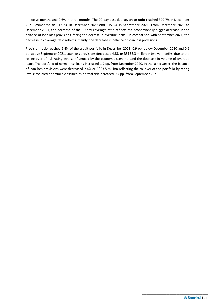in twelve months and 0.6% in three months. The 90-day past due **coverage ratio** reached 309.7% in December 2021, compared to 317.7% in December 2020 and 315.3% in September 2021. From December 2020 to December 2021, the decrease of the 90-day coverage ratio reflects the proportionally bigger decrease in the balance of loan loss provisions, facing the decrese in overdue loans . In comparison with September 2021, the decrease in coverage ratio reflects, mainly, the decrease in balance of loan loss provisions.

**Provision ratio** reached 6.4% of the credit portfolio in December 2021, 0.9 pp. below December 2020 and 0.6 pp. above September 2021. Loan loss provisions decreased 4.8% or R\$133.3 million in twelve months, due to the rolling over of risk rating levels, influenced by the economic scenario, and the decrease in volume of overdue loans. The portfolio of normal risk loans increased 1.7 pp. from December 2020. In the last quarter, the balance of loan loss provisions were decreased 2.4% or R\$63.5 million reflecting the rollover of the portfolio by rating levels; the credit portfolio classified as normal risk increased 0.7 pp. from September 2021.